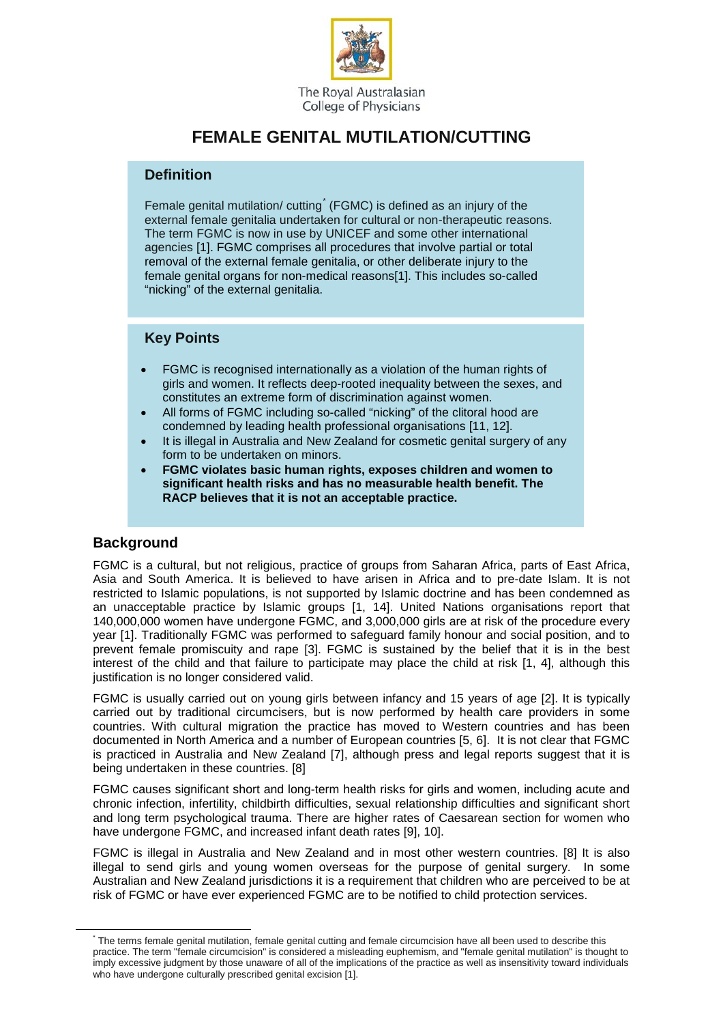

College of Physicians

# **FEMALE GENITAL MUTILATION/CUTTING**

#### **Definition**

Female genital mutilation/ cutting<sup>[\\*](#page-0-0)</sup> (FGMC) is defined as an injury of the external female genitalia undertaken for cultural or non-therapeutic reasons. The term FGMC is now in use by UNICEF and some other international agencies [1]. FGMC comprises all procedures that involve partial or total removal of the external female genitalia, or other deliberate injury to the female genital organs for non-medical reasons[1]. This includes so-called "nicking" of the external genitalia.

### **Key Points**

- FGMC is recognised internationally as a violation of the human rights of girls and women. It reflects deep-rooted inequality between the sexes, and constitutes an extreme form of discrimination against women.
- All forms of FGMC including so-called "nicking" of the clitoral hood are condemned by leading health professional organisations [11, 12].
- It is illegal in Australia and New Zealand for cosmetic genital surgery of any form to be undertaken on minors.
- **FGMC violates basic human rights, exposes children and women to significant health risks and has no measurable health benefit. The RACP believes that it is not an acceptable practice.**

## **Background**

FGMC is a cultural, but not religious, practice of groups from Saharan Africa, parts of East Africa, Asia and South America. It is believed to have arisen in Africa and to pre-date Islam. It is not restricted to Islamic populations, is not supported by Islamic doctrine and has been condemned as an unacceptable practice by Islamic groups [1, 14]. United Nations organisations report that 140,000,000 women have undergone FGMC, and 3,000,000 girls are at risk of the procedure every year [1]. Traditionally FGMC was performed to safeguard family honour and social position, and to prevent female promiscuity and rape [3]. FGMC is sustained by the belief that it is in the best interest of the child and that failure to participate may place the child at risk [1, 4], although this justification is no longer considered valid.

FGMC is usually carried out on young girls between infancy and 15 years of age [2]. It is typically carried out by traditional circumcisers, but is now performed by health care providers in some countries. With cultural migration the practice has moved to Western countries and has been documented in North America and a number of European countries [5, 6]. It is not clear that FGMC is practiced in Australia and New Zealand [7], although press and legal reports suggest that it is being undertaken in these countries. [8]

FGMC causes significant short and long-term health risks for girls and women, including acute and chronic infection, infertility, childbirth difficulties, sexual relationship difficulties and significant short and long term psychological trauma. There are higher rates of Caesarean section for women who have undergone FGMC, and increased infant death rates [9], 10].

FGMC is illegal in Australia and New Zealand and in most other western countries. [8] It is also illegal to send girls and young women overseas for the purpose of genital surgery. In some Australian and New Zealand jurisdictions it is a requirement that children who are perceived to be at risk of FGMC or have ever experienced FGMC are to be notified to child protection services.

<span id="page-0-0"></span>The terms female genital mutilation, female genital cutting and female circumcision have all been used to describe this practice. The term "female circumcision" is considered a misleading euphemism, and "female genital mutilation" is thought to imply excessive judgment by those unaware of all of the implications of the practice as well as insensitivity toward individuals who have undergone culturally prescribed genital excision [1].